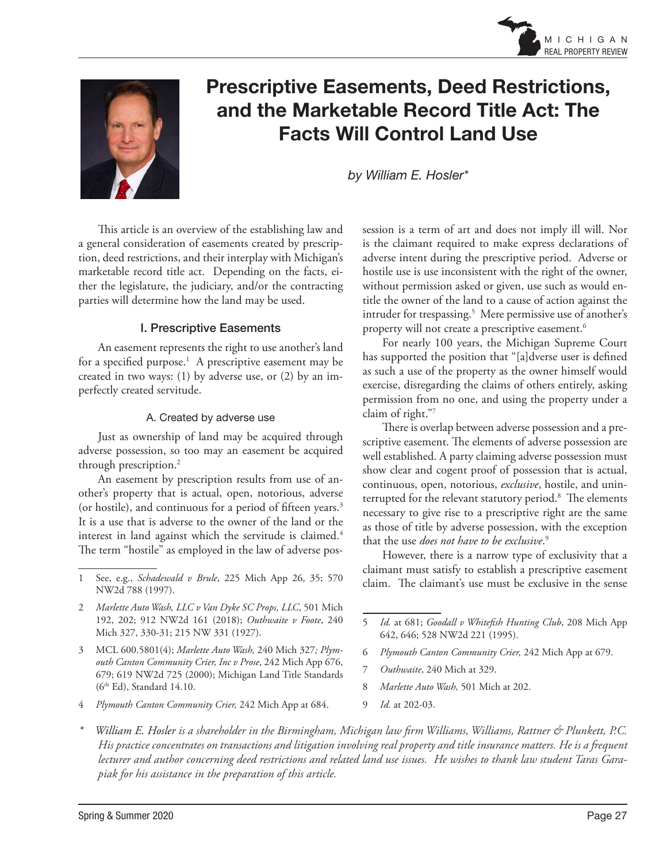



# Prescriptive Easements, Deed Restrictions, and the Marketable Record Title Act: The Facts Will Control Land Use

*by William E. Hosler\**

This article is an overview of the establishing law and a general consideration of easements created by prescription, deed restrictions, and their interplay with Michigan's marketable record title act. Depending on the facts, either the legislature, the judiciary, and/or the contracting parties will determine how the land may be used.

## I. Prescriptive Easements

An easement represents the right to use another's land for a specified purpose.<sup>1</sup> A prescriptive easement may be created in two ways: (1) by adverse use, or (2) by an imperfectly created servitude.

## A. Created by adverse use

Just as ownership of land may be acquired through adverse possession, so too may an easement be acquired through prescription.<sup>2</sup>

An easement by prescription results from use of another's property that is actual, open, notorious, adverse (or hostile), and continuous for a period of fifteen years.<sup>3</sup> It is a use that is adverse to the owner of the land or the interest in land against which the servitude is claimed.<sup>4</sup> The term "hostile" as employed in the law of adverse pos-

4 *Plymouth Canton Community Crier,* 242 Mich App at 684.

session is a term of art and does not imply ill will. Nor is the claimant required to make express declarations of adverse intent during the prescriptive period. Adverse or hostile use is use inconsistent with the right of the owner, without permission asked or given, use such as would entitle the owner of the land to a cause of action against the intruder for trespassing.5 Mere permissive use of another's property will not create a prescriptive easement.<sup>6</sup>

For nearly 100 years, the Michigan Supreme Court has supported the position that "[a]dverse user is defined as such a use of the property as the owner himself would exercise, disregarding the claims of others entirely, asking permission from no one, and using the property under a claim of right."7

There is overlap between adverse possession and a prescriptive easement. The elements of adverse possession are well established. A party claiming adverse possession must show clear and cogent proof of possession that is actual, continuous, open, notorious, *exclusive*, hostile, and uninterrupted for the relevant statutory period.<sup>8</sup> The elements necessary to give rise to a prescriptive right are the same as those of title by adverse possession, with the exception that the use *does not have to be exclusive*. 9

However, there is a narrow type of exclusivity that a claimant must satisfy to establish a prescriptive easement claim. The claimant's use must be exclusive in the sense

- 6 *Plymouth Canton Community Crier,* 242 Mich App at 679.
- 7 *Outhwaite*, 240 Mich at 329.
- 8 *Marlette Auto Wash,* 501 Mich at 202.
- 9 *Id.* at 202-03.

*\* William E. Hosler is a shareholder in the Birmingham, Michigan law firm Williams, Williams, Rattner & Plunkett, P.C. His practice concentrates on transactions and litigation involving real property and title insurance matters. He is a frequent lecturer and author concerning deed restrictions and related land use issues. He wishes to thank law student Taras Garapiak for his assistance in the preparation of this article.*

See, e.g., Schadewald v Brule, 225 Mich App 26, 35; 570 NW2d 788 (1997).

<sup>2</sup> *Marlette Auto Wash, LLC v Van Dyke SC Props, LLC*, 501 Mich 192, 202; 912 NW2d 161 (2018); *Outhwaite v Foote*, 240 Mich 327, 330-31; 215 NW 331 (1927).

<sup>3</sup> MCL 600.5801(4); *Marlette Auto Wash,* 240 Mich 327*; Plymouth Canton Community Crier, Inc v Prose*, 242 Mich App 676, 679; 619 NW2d 725 (2000); Michigan Land Title Standards  $(6<sup>th</sup> Ed)$ , Standard 14.10.

<sup>5</sup> *Id.* at 681; *Goodall v Whitefish Hunting Club*, 208 Mich App 642, 646; 528 NW2d 221 (1995).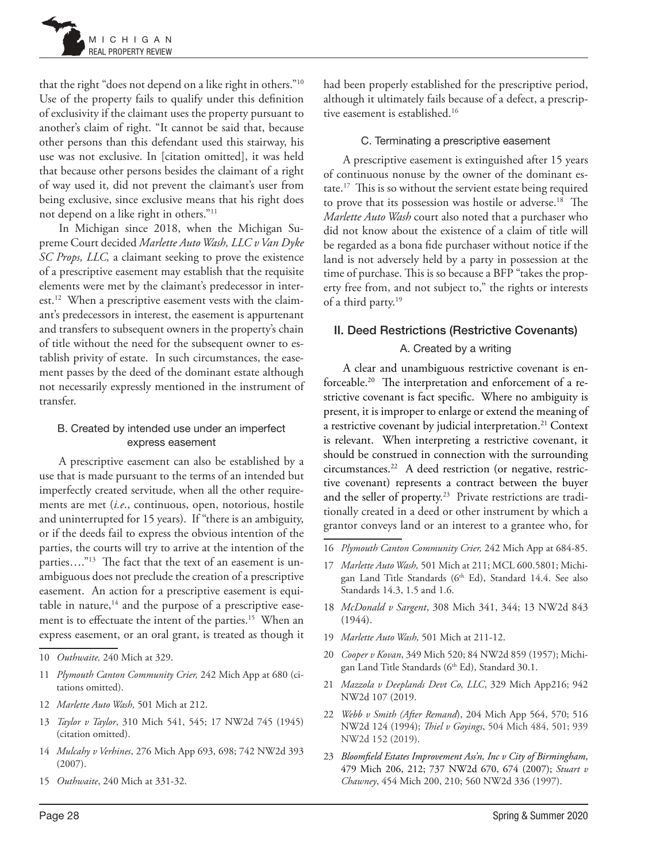

that the right "does not depend on a like right in others."10 Use of the property fails to qualify under this definition of exclusivity if the claimant uses the property pursuant to another's claim of right. "It cannot be said that, because other persons than this defendant used this stairway, his use was not exclusive. In [citation omitted], it was held that because other persons besides the claimant of a right of way used it, did not prevent the claimant's user from being exclusive, since exclusive means that his right does not depend on a like right in others."11

In Michigan since 2018, when the Michigan Supreme Court decided *Marlette Auto Wash, LLC v Van Dyke SC Props, LLC,* a claimant seeking to prove the existence of a prescriptive easement may establish that the requisite elements were met by the claimant's predecessor in interest.12 When a prescriptive easement vests with the claimant's predecessors in interest, the easement is appurtenant and transfers to subsequent owners in the property's chain of title without the need for the subsequent owner to establish privity of estate. In such circumstances, the easement passes by the deed of the dominant estate although not necessarily expressly mentioned in the instrument of transfer.

## B. Created by intended use under an imperfect express easement

A prescriptive easement can also be established by a use that is made pursuant to the terms of an intended but imperfectly created servitude, when all the other requirements are met (*i.e*., continuous, open, notorious, hostile and uninterrupted for 15 years). If "there is an ambiguity, or if the deeds fail to express the obvious intention of the parties, the courts will try to arrive at the intention of the parties...."<sup>13</sup> The fact that the text of an easement is unambiguous does not preclude the creation of a prescriptive easement. An action for a prescriptive easement is equitable in nature, $14$  and the purpose of a prescriptive easement is to effectuate the intent of the parties.<sup>15</sup> When an express easement, or an oral grant, is treated as though it

- 11 *Plymouth Canton Community Crier,* 242 Mich App at 680 (citations omitted).
- 12 *Marlette Auto Wash,* 501 Mich at 212.
- 13 *Taylor v Taylor*, 310 Mich 541, 545; 17 NW2d 745 (1945) (citation omitted).
- 14 *Mulcahy v Verhines*, 276 Mich App 693, 698; 742 NW2d 393 (2007).
- 15 *Outhwaite*, 240 Mich at 331-32.

had been properly established for the prescriptive period, although it ultimately fails because of a defect, a prescriptive easement is established.<sup>16</sup>

#### C. Terminating a prescriptive easement

A prescriptive easement is extinguished after 15 years of continuous nonuse by the owner of the dominant estate.<sup>17</sup> This is so without the servient estate being required to prove that its possession was hostile or adverse.<sup>18</sup> The *Marlette Auto Wash* court also noted that a purchaser who did not know about the existence of a claim of title will be regarded as a bona fide purchaser without notice if the land is not adversely held by a party in possession at the time of purchase. This is so because a BFP "takes the property free from, and not subject to," the rights or interests of a third party.<sup>19</sup>

#### II. Deed Restrictions (Restrictive Covenants)

#### A. Created by a writing

A clear and unambiguous restrictive covenant is enforceable.20 The interpretation and enforcement of a restrictive covenant is fact specific. Where no ambiguity is present, it is improper to enlarge or extend the meaning of a restrictive covenant by judicial interpretation.<sup>21</sup> Context is relevant. When interpreting a restrictive covenant, it should be construed in connection with the surrounding circumstances.22 A deed restriction (or negative, restrictive covenant) represents a contract between the buyer and the seller of property.<sup>23</sup> Private restrictions are traditionally created in a deed or other instrument by which a grantor conveys land or an interest to a grantee who, for

- 16 *Plymouth Canton Community Crier,* 242 Mich App at 684-85.
- 17 *Marlette Auto Wash,* 501 Mich at 211; MCL 600.5801; Michigan Land Title Standards (6<sup>th</sup> Ed), Standard 14.4. See also Standards 14.3, 1.5 and 1.6.
- 18 *McDonald v Sargent*, 308 Mich 341, 344; 13 NW2d 843 (1944).
- 19 *Marlette Auto Wash,* 501 Mich at 211-12.
- 20 *Cooper v Kovan*, 349 Mich 520; 84 NW2d 859 (1957); Michigan Land Title Standards (6<sup>th</sup> Ed), Standard 30.1.
- 21 *Mazzola v Deeplands Devt Co, LLC*, 329 Mich App216; 942 NW2d 107 (2019.
- 22 *Webb v Smith (After Remand*), 204 Mich App 564, 570; 516 NW2d 124 (1994); *Thiel v Goyings*, 504 Mich 484, 501; 939 NW2d 152 (2019).
- 23 *Bloomfield Estates Improvement Ass'n, Inc v City of Birmingham*, 479 Mich 206, 212; 737 NW2d 670, 674 (2007); *Stuart v Chawney*, 454 Mich 200, 210; 560 NW2d 336 (1997).

<sup>10</sup> *Outhwaite,* 240 Mich at 329.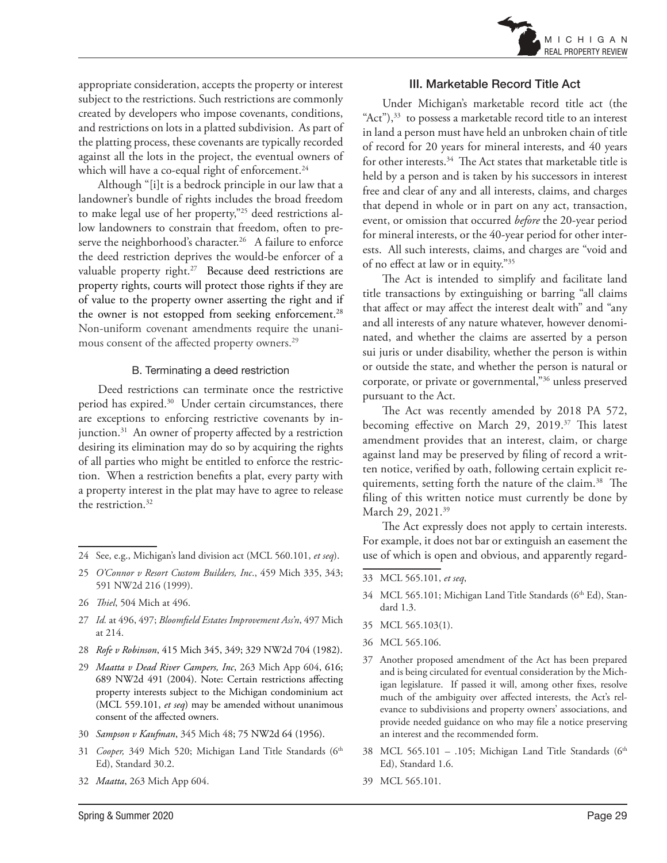

appropriate consideration, accepts the property or interest subject to the restrictions. Such restrictions are commonly created by developers who impose covenants, conditions, and restrictions on lots in a platted subdivision. As part of the platting process, these covenants are typically recorded against all the lots in the project, the eventual owners of which will have a co-equal right of enforcement.<sup>24</sup>

Although "[i]t is a bedrock principle in our law that a landowner's bundle of rights includes the broad freedom to make legal use of her property,"25 deed restrictions allow landowners to constrain that freedom, often to preserve the neighborhood's character.<sup>26</sup> A failure to enforce the deed restriction deprives the would-be enforcer of a valuable property right.<sup>27</sup> Because deed restrictions are property rights, courts will protect those rights if they are of value to the property owner asserting the right and if the owner is not estopped from seeking enforcement.<sup>28</sup> Non-uniform covenant amendments require the unanimous consent of the affected property owners.<sup>29</sup>

#### B. Terminating a deed restriction

Deed restrictions can terminate once the restrictive period has expired.30 Under certain circumstances, there are exceptions to enforcing restrictive covenants by injunction.<sup>31</sup> An owner of property affected by a restriction desiring its elimination may do so by acquiring the rights of all parties who might be entitled to enforce the restriction. When a restriction benefits a plat, every party with a property interest in the plat may have to agree to release the restriction.<sup>32</sup>

- 25 *O'Connor v Resort Custom Builders, Inc*., 459 Mich 335, 343; 591 NW2d 216 (1999).
- 26 *Thiel*, 504 Mich at 496.
- 27 *Id.* at 496, 497; *Bloomfield Estates Improvement Ass'n*, 497 Mich at 214.
- 28 *Rofe v Robinson*, 415 Mich 345, 349; 329 NW2d 704 (1982).
- 29 *Maatta v Dead River Campers, Inc*, 263 Mich App 604, 616; 689 NW2d 491 (2004). Note: Certain restrictions affecting property interests subject to the Michigan condominium act (MCL 559.101, *et seq*) may be amended without unanimous consent of the affected owners.
- 30 *Sampson v Kaufman*, 345 Mich 48; 75 NW2d 64 (1956).
- 31 *Cooper,* 349 Mich 520; Michigan Land Title Standards (6th Ed), Standard 30.2.
- 32 *Maatta*, 263 Mich App 604.

Under Michigan's marketable record title act (the "Act"), $33$  to possess a marketable record title to an interest in land a person must have held an unbroken chain of title of record for 20 years for mineral interests, and 40 years for other interests.<sup>34</sup> The Act states that marketable title is held by a person and is taken by his successors in interest free and clear of any and all interests, claims, and charges that depend in whole or in part on any act, transaction, event, or omission that occurred *before* the 20-year period for mineral interests, or the 40-year period for other interests. All such interests, claims, and charges are "void and of no effect at law or in equity."35

The Act is intended to simplify and facilitate land title transactions by extinguishing or barring "all claims that affect or may affect the interest dealt with" and "any and all interests of any nature whatever, however denominated, and whether the claims are asserted by a person sui juris or under disability, whether the person is within or outside the state, and whether the person is natural or corporate, or private or governmental,"36 unless preserved pursuant to the Act.

The Act was recently amended by 2018 PA 572, becoming effective on March 29, 2019.<sup>37</sup> This latest amendment provides that an interest, claim, or charge against land may be preserved by filing of record a written notice, verified by oath, following certain explicit requirements, setting forth the nature of the claim.38 The filing of this written notice must currently be done by March 29, 2021.<sup>39</sup>

The Act expressly does not apply to certain interests. For example, it does not bar or extinguish an easement the use of which is open and obvious, and apparently regard-

- 33 MCL 565.101, *et seq*,
- 34 MCL 565.101; Michigan Land Title Standards (6<sup>th</sup> Ed), Standard 1.3.
- 35 MCL 565.103(1).
- 36 MCL 565.106.
- 37 Another proposed amendment of the Act has been prepared and is being circulated for eventual consideration by the Michigan legislature. If passed it will, among other fixes, resolve much of the ambiguity over affected interests, the Act's relevance to subdivisions and property owners' associations, and provide needed guidance on who may file a notice preserving an interest and the recommended form.
- 38 MCL 565.101 .105; Michigan Land Title Standards (6th Ed), Standard 1.6.
- 39 MCL 565.101.

<sup>24</sup> See, e.g., Michigan's land division act (MCL 560.101, *et seq*).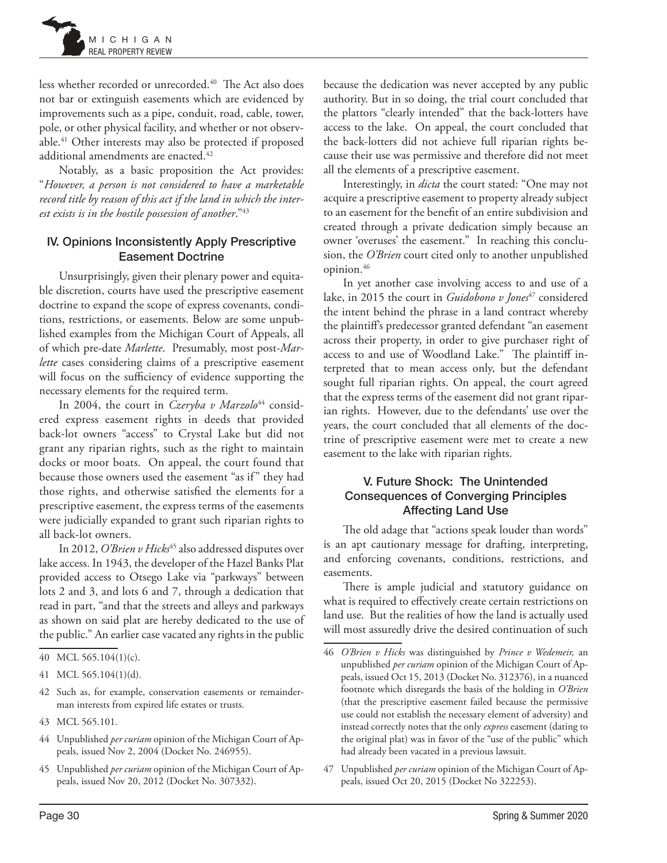

less whether recorded or unrecorded.<sup>40</sup> The Act also does not bar or extinguish easements which are evidenced by improvements such as a pipe, conduit, road, cable, tower, pole, or other physical facility, and whether or not observable.41 Other interests may also be protected if proposed additional amendments are enacted.<sup>42</sup>

Notably, as a basic proposition the Act provides: "*However, a person is not considered to have a marketable record title by reason of this act if the land in which the interest exists is in the hostile possession of another*."43

# IV. Opinions Inconsistently Apply Prescriptive Easement Doctrine

Unsurprisingly, given their plenary power and equitable discretion, courts have used the prescriptive easement doctrine to expand the scope of express covenants, conditions, restrictions, or easements. Below are some unpublished examples from the Michigan Court of Appeals, all of which pre-date *Marlette*. Presumably, most post-*Marlette* cases considering claims of a prescriptive easement will focus on the sufficiency of evidence supporting the necessary elements for the required term.

In 2004, the court in *Czeryba v Marzolo<sup>44</sup>* considered express easement rights in deeds that provided back-lot owners "access" to Crystal Lake but did not grant any riparian rights, such as the right to maintain docks or moor boats. On appeal, the court found that because those owners used the easement "as if" they had those rights, and otherwise satisfied the elements for a prescriptive easement, the express terms of the easements were judicially expanded to grant such riparian rights to all back-lot owners.

In 2012, *O'Brien v Hicks*<sup>45</sup> also addressed disputes over lake access. In 1943, the developer of the Hazel Banks Plat provided access to Otsego Lake via "parkways" between lots 2 and 3, and lots 6 and 7, through a dedication that read in part, "and that the streets and alleys and parkways as shown on said plat are hereby dedicated to the use of the public." An earlier case vacated any rights in the public

- 42 Such as, for example, conservation easements or remainderman interests from expired life estates or trusts.
- 43 MCL 565.101.
- 44 Unpublished *per curiam* opinion of the Michigan Court of Appeals, issued Nov 2, 2004 (Docket No. 246955).
- 45 Unpublished *per curiam* opinion of the Michigan Court of Appeals, issued Nov 20, 2012 (Docket No. 307332).

because the dedication was never accepted by any public authority. But in so doing, the trial court concluded that the plattors "clearly intended" that the back-lotters have access to the lake. On appeal, the court concluded that the back-lotters did not achieve full riparian rights because their use was permissive and therefore did not meet all the elements of a prescriptive easement.

Interestingly, in *dicta* the court stated: "One may not acquire a prescriptive easement to property already subject to an easement for the benefit of an entire subdivision and created through a private dedication simply because an owner 'overuses' the easement." In reaching this conclusion, the *O'Brien* court cited only to another unpublished opinion.46

In yet another case involving access to and use of a lake, in 2015 the court in *Guidobono v Jones<sup>47</sup>* considered the intent behind the phrase in a land contract whereby the plaintiff's predecessor granted defendant "an easement across their property, in order to give purchaser right of access to and use of Woodland Lake." The plaintiff interpreted that to mean access only, but the defendant sought full riparian rights. On appeal, the court agreed that the express terms of the easement did not grant riparian rights. However, due to the defendants' use over the years, the court concluded that all elements of the doctrine of prescriptive easement were met to create a new easement to the lake with riparian rights.

# V. Future Shock: The Unintended Consequences of Converging Principles Affecting Land Use

The old adage that "actions speak louder than words" is an apt cautionary message for drafting, interpreting, and enforcing covenants, conditions, restrictions, and easements.

There is ample judicial and statutory guidance on what is required to effectively create certain restrictions on land use. But the realities of how the land is actually used will most assuredly drive the desired continuation of such

47 Unpublished *per curiam* opinion of the Michigan Court of Appeals, issued Oct 20, 2015 (Docket No 322253).

<sup>40</sup> MCL 565.104(1)(c).

<sup>41</sup> MCL 565.104(1)(d).

<sup>46</sup> *O'Brien v Hicks* was distinguished by *Prince v Wedemeir,* an unpublished *per curiam* opinion of the Michigan Court of Appeals, issued Oct 15, 2013 (Docket No. 312376), in a nuanced footnote which disregards the basis of the holding in *O'Brien*  (that the prescriptive easement failed because the permissive use could not establish the necessary element of adversity) and instead correctly notes that the only *express* easement (dating to the original plat) was in favor of the "use of the public" which had already been vacated in a previous lawsuit.